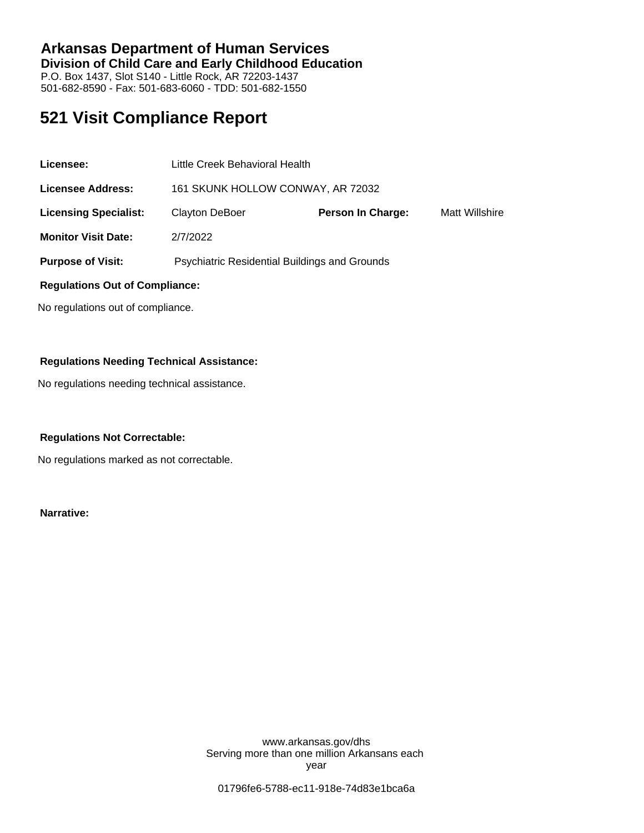### **Arkansas Department of Human Services Division of Child Care and Early Childhood Education** P.O. Box 1437, Slot S140 - Little Rock, AR 72203-1437 501-682-8590 - Fax: 501-683-6060 - TDD: 501-682-1550

# **521 Visit Compliance Report**

| Licensee:                             | Little Creek Behavioral Health                       |                          |                |
|---------------------------------------|------------------------------------------------------|--------------------------|----------------|
| <b>Licensee Address:</b>              | 161 SKUNK HOLLOW CONWAY, AR 72032                    |                          |                |
| <b>Licensing Specialist:</b>          | Clayton DeBoer                                       | <b>Person In Charge:</b> | Matt Willshire |
| <b>Monitor Visit Date:</b>            | 2/7/2022                                             |                          |                |
| <b>Purpose of Visit:</b>              | <b>Psychiatric Residential Buildings and Grounds</b> |                          |                |
| <b>Regulations Out of Compliance:</b> |                                                      |                          |                |

No regulations out of compliance.

### **Regulations Needing Technical Assistance:**

No regulations needing technical assistance.

#### **Regulations Not Correctable:**

No regulations marked as not correctable.

**Narrative:**

www.arkansas.gov/dhs Serving more than one million Arkansans each year

01796fe6-5788-ec11-918e-74d83e1bca6a